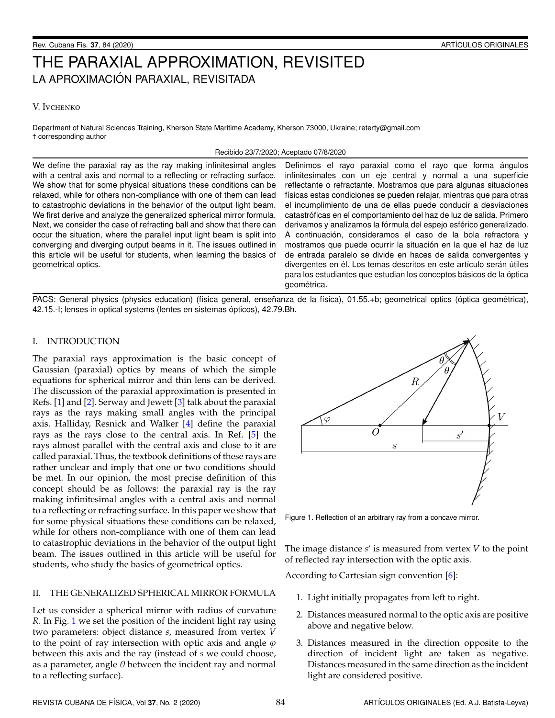# THE PARAXIAL APPROXIMATION, REVISITED LA APROXIMACIÓN PARAXIAL, REVISITADA

## V. Ivchenko

Department of Natural Sciences Training, Kherson State Maritime Academy, Kherson 73000, Ukraine; reterty@gmail.com † corresponding author

#### Recibido 23/7/2020; Aceptado 07/8/2020

We define the paraxial ray as the ray making infinitesimal angles with a central axis and normal to a reflecting or refracting surface. We show that for some physical situations these conditions can be relaxed, while for others non-compliance with one of them can lead to catastrophic deviations in the behavior of the output light beam. We first derive and analyze the generalized spherical mirror formula. Next, we consider the case of refracting ball and show that there can occur the situation, where the parallel input light beam is split into converging and diverging output beams in it. The issues outlined in this article will be useful for students, when learning the basics of geometrical optics.

Definimos el rayo paraxial como el rayo que forma ángulos infinitesimales con un eje central y normal a una superficie reflectante o refractante. Mostramos que para algunas situaciones físicas estas condiciones se pueden relajar, mientras que para otras el incumplimiento de una de ellas puede conducir a desviaciones catastróficas en el comportamiento del haz de luz de salida. Primero derivamos y analizamos la fórmula del espejo esférico generalizado. A continuación, consideramos el caso de la bola refractora y mostramos que puede ocurrir la situación en la que el haz de luz de entrada paralelo se divide en haces de salida convergentes y divergentes en él. Los temas descritos en este artículo serán útiles para los estudiantes que estudian los conceptos básicos de la óptica geométrica.

PACS: General physics (physics education) (física general, enseñanza de la física), 01.55.+b; geometrical optics (óptica geométrica), 42.15.-I; lenses in optical systems (lentes en sistemas ópticos), 42.79.Bh.

# I. INTRODUCTION

The paraxial rays approximation is the basic concept of Gaussian (paraxial) optics by means of which the simple equations for spherical mirror and thin lens can be derived. The discussion of the paraxial approximation is presented in Refs. [\[1\]](#page-3-0) and [\[2\]](#page-3-1). Serway and Jewett [\[3\]](#page-3-2) talk about the paraxial rays as the rays making small angles with the principal axis. Halliday, Resnick and Walker [\[4\]](#page-3-3) define the paraxial rays as the rays close to the central axis. In Ref. [\[5\]](#page-3-4) the rays almost parallel with the central axis and close to it are called paraxial. Thus, the textbook definitions of these rays are rather unclear and imply that one or two conditions should be met. In our opinion, the most precise definition of this concept should be as follows: the paraxial ray is the ray making infinitesimal angles with a central axis and normal to a reflecting or refracting surface. In this paper we show that for some physical situations these conditions can be relaxed, while for others non-compliance with one of them can lead to catastrophic deviations in the behavior of the output light beam. The issues outlined in this article will be useful for students, who study the basics of geometrical optics.

# II. THE GENERALIZED SPHERICAL MIRROR FORMULA

Let us consider a spherical mirror with radius of curvature *R*. In Fig. [1](#page-0-0) we set the position of the incident light ray using two parameters: object distance *s*, measured from vertex *V* to the point of ray intersection with optic axis and angle  $\varphi$ between this axis and the ray (instead of *s* we could choose, as a parameter, angle  $\theta$  between the incident ray and normal to a reflecting surface).

<span id="page-0-0"></span>

Figure 1. Reflection of an arbitrary ray from a concave mirror.

The image distance *s'* is measured from vertex *V* to the point of reflected ray intersection with the optic axis.

According to Cartesian sign convention [\[6\]](#page-3-5):

- 1. Light initially propagates from left to right.
- 2. Distances measured normal to the optic axis are positive above and negative below.
- 3. Distances measured in the direction opposite to the direction of incident light are taken as negative. Distances measured in the same direction as the incident light are considered positive.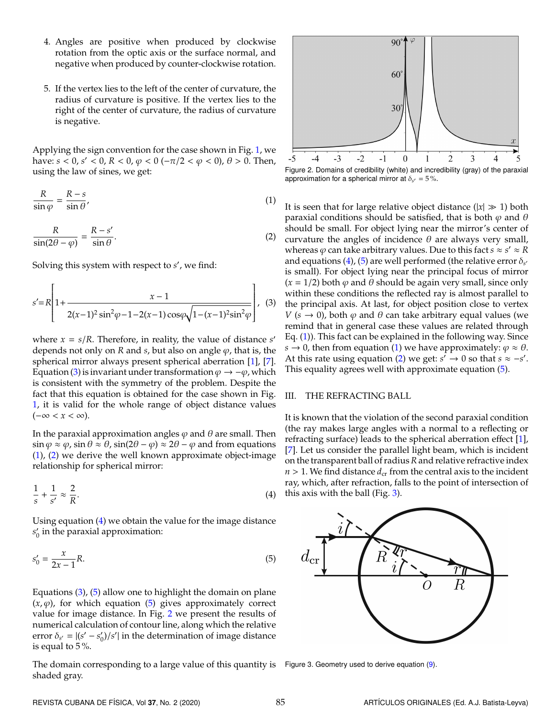- 4. Angles are positive when produced by clockwise rotation from the optic axis or the surface normal, and negative when produced by counter-clockwise rotation.
- 5. If the vertex lies to the left of the center of curvature, the radius of curvature is positive. If the vertex lies to the right of the center of curvature, the radius of curvature is negative.

<span id="page-1-1"></span>Applying the sign convention for the case shown in Fig. [1,](#page-0-0) we have:  $s < 0$ ,  $s' < 0$ ,  $R < 0$ ,  $\varphi < 0$  ( $-\pi/2 < \varphi < 0$ ),  $\theta > 0$ . Then, using the law of sines, we get:

$$
\frac{R}{\sin \varphi} = \frac{R - s}{\sin \theta},\tag{1}
$$

<span id="page-1-2"></span>
$$
\frac{R}{\sin(2\theta - \varphi)} = \frac{R - s'}{\sin \theta}.
$$
 (2)

Solving this system with respect to *s'*, we find:

$$
s' = R \left[ 1 + \frac{x - 1}{2(x - 1)^2 \sin^2 \varphi - 1 - 2(x - 1) \cos \varphi \sqrt{1 - (x - 1)^2 \sin^2 \varphi}} \right], \quad (3)
$$

where  $x = s/R$ . Therefore, in reality, the value of distance  $s'$ depends not only on *R* and *s*, but also on angle  $\varphi$ , that is, the spherical mirror always present spherical aberration [\[1\]](#page-3-0), [\[7\]](#page-3-6). Equation [\(3\)](#page-1-0) is invariant under transformation  $\varphi \to -\varphi$ , which is consistent with the symmetry of the problem. Despite the fact that this equation is obtained for the case shown in Fig. [1,](#page-0-0) it is valid for the whole range of object distance values  $(-\infty < x < \infty)$ .

In the paraxial approximation angles  $\varphi$  and  $\theta$  are small. Then  $\sin \varphi \approx \varphi$ ,  $\sin \theta \approx \theta$ ,  $\sin(2\theta - \varphi) \approx 2\theta - \varphi$  and from equations [\(1\)](#page-1-1), [\(2\)](#page-1-2) we derive the well known approximate object-image relationship for spherical mirror:

$$
\frac{1}{s} + \frac{1}{s'} \approx \frac{2}{R}.\tag{4}
$$

Using equation [\(4\)](#page-1-3) we obtain the value for the image distance  $s'_{0}$  $_0^\prime$  in the paraxial approximation:

$$
s'_0 = \frac{x}{2x - 1}R.\tag{5}
$$

Equations  $(3)$ ,  $(5)$  allow one to highlight the domain on plane  $(x, \varphi)$ , for which equation [\(5\)](#page-1-4) gives approximately correct value for image distance. In Fig. [2](#page-1-5) we present the results of numerical calculation of contour line, along which the relative error  $\delta_{s'} = |(s' - s'_0)|$  $\binom{1}{0}$ /s'| in the determination of image distance is equal to 5 %.

The domain corresponding to a large value of this quantity is shaded gray.

<span id="page-1-5"></span>

Figure 2. Domains of credibility (white) and incredibility (gray) of the paraxial approximation for a spherical mirror at  $\delta_{s'} = 5\%$ .

<span id="page-1-0"></span>It is seen that for large relative object distance  $(|x| \gg 1)$  both paraxial conditions should be satisfied, that is both  $\varphi$  and  $\theta$ should be small. For object lying near the mirror's center of curvature the angles of incidence  $\theta$  are always very small, whereas  $\varphi$  can take arbitrary values. Due to this fact  $s \approx s' \approx R$ and equations [\(4\)](#page-1-3), [\(5\)](#page-1-4) are well performed (the relative error  $\delta_{\scriptscriptstyle S'}$ is small). For object lying near the principal focus of mirror  $(x = 1/2)$  both  $\varphi$  and  $\theta$  should be again very small, since only within these conditions the reflected ray is almost parallel to the principal axis. At last, for object position close to vertex *V* ( $s \rightarrow 0$ ), both  $\varphi$  and  $\theta$  can take arbitrary equal values (we remind that in general case these values are related through Eq. [\(1\)](#page-1-1)). This fact can be explained in the following way. Since *s*  $\rightarrow$  0, then from equation [\(1\)](#page-1-1) we have approximately:  $\varphi \approx \theta$ . At this rate using equation [\(2\)](#page-1-2) we get:  $s' \rightarrow 0$  so that  $s \approx -s'$ . This equality agrees well with approximate equation [\(5\)](#page-1-4).

### III. THE REFRACTING BALL

It is known that the violation of the second paraxial condition (the ray makes large angles with a normal to a reflecting or refracting surface) leads to the spherical aberration effect [\[1\]](#page-3-0), [\[7\]](#page-3-6). Let us consider the parallel light beam, which is incident on the transparent ball of radius *R* and relative refractive index  $n > 1$ . We find distance  $d_{cr}$  from the central axis to the incident ray, which, after refraction, falls to the point of intersection of this axis with the ball (Fig. [3\)](#page-1-6).

<span id="page-1-6"></span><span id="page-1-4"></span><span id="page-1-3"></span>

Figure 3. Geometry used to derive equation [\(9\)](#page-2-0).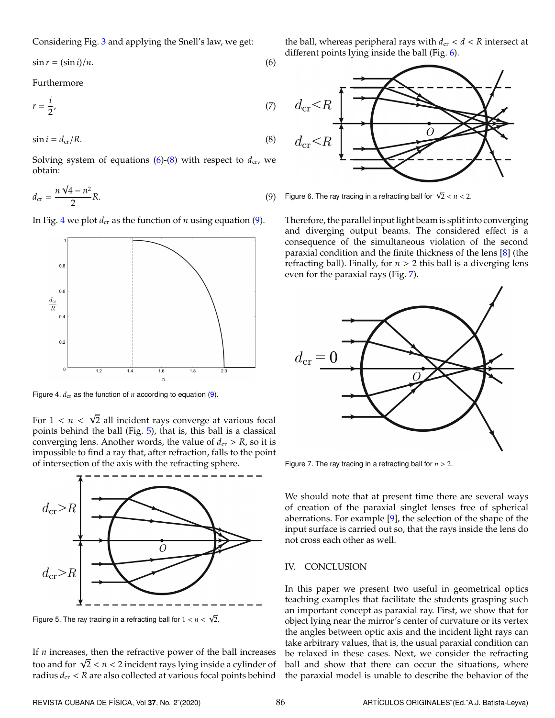Considering Fig. [3](#page-1-6) and applying the Snell's law, we get:

$$
\sin r = (\sin i)/n. \tag{6}
$$

Furthermore

$$
r = \frac{i}{2},\tag{7}
$$

<span id="page-2-2"></span>
$$
\sin i = d_{\rm cr}/R. \tag{8}
$$

<span id="page-2-0"></span>Solving system of equations  $(6)-(8)$  $(6)-(8)$  $(6)-(8)$  with respect to  $d_{cr}$ , we obtain:

$$
d_{\rm cr} = \frac{n\sqrt{4 - n^2}}{2} R. \tag{9}
$$

In Fig. [4](#page-2-3) we plot  $d_{cr}$  as the function of *n* using equation [\(9\)](#page-2-0).

<span id="page-2-3"></span>

Figure 4.  $d_{cr}$  as the function of  $n$  according to equation [\(9\)](#page-2-0).

√

For  $1 < n < \sqrt{2}$  all incident rays converge at various focal points behind the ball (Fig. [5\)](#page-2-4), that is, this ball is a classical converging lens. Another words, the value of  $d_{cr} > R$ , so it is impossible to find a ray that, after refraction, falls to the point of intersection of the axis with the refracting sphere.

<span id="page-2-4"></span>

Figure 5. The ray tracing in a refracting ball for  $1 < n < \sqrt{2}$ .

If *n* increases, then the refractive power of the ball increases It *n* increases, then the retractive power of the ball increases<br>too and for  $\sqrt{2} < n < 2$  incident rays lying inside a cylinder of radius  $d_{cr} < R$  are also collected at various focal points behind <span id="page-2-1"></span>the ball, whereas peripheral rays with  $d_{cr} < d < R$  intersect at different points lying inside the ball (Fig. [6\)](#page-2-5).

<span id="page-2-5"></span>

Figure 6. The ray tracing in a refracting ball for  $\sqrt{2} < n < 2$ .

Therefore, the parallel input light beam is split into converging and diverging output beams. The considered effect is a consequence of the simultaneous violation of the second paraxial condition and the finite thickness of the lens [\[8\]](#page-3-7) (the refracting ball). Finally, for  $n > 2$  this ball is a diverging lens even for the paraxial rays (Fig. [7\)](#page-2-6).

<span id="page-2-6"></span>

Figure 7. The ray tracing in a refracting ball for  $n > 2$ .

We should note that at present time there are several ways of creation of the paraxial singlet lenses free of spherical aberrations. For example  $[9]$ , the selection of the shape of the input surface is carried out so, that the rays inside the lens do not cross each other as well.

#### IV. CONCLUSION

In this paper we present two useful in geometrical optics teaching examples that facilitate the students grasping such an important concept as paraxial ray. First, we show that for object lying near the mirror's center of curvature or its vertex the angles between optic axis and the incident light rays can take arbitrary values, that is, the usual paraxial condition can be relaxed in these cases. Next, we consider the refracting ball and show that there can occur the situations, where the paraxial model is unable to describe the behavior of the